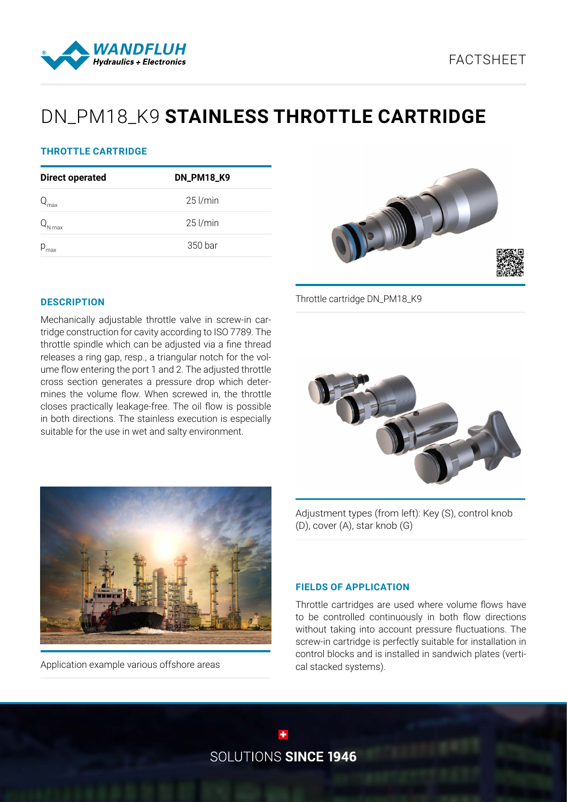



# DN\_PM18\_K9 **STAINLESS THROTTLE CARTRIDGE**

## **THROTTLE CARTRIDGE**

| <b>Direct operated</b> | <b>DN_PM18_K9</b> |
|------------------------|-------------------|
| max                    | $25$ l/min        |
| J max                  | $25$ l/min        |
| $p_{\text{max}}$       | 350 bar           |



Throttle cartridge DN\_PM18\_K9

### **DESCRIPTION**

Mechanically adjustable throttle valve in screw-in cartridge construction for cavity according to ISO 7789. The throttle spindle which can be adjusted via a fine thread releases a ring gap, resp., a triangular notch for the volume flow entering the port 1 and 2. The adjusted throttle cross section generates a pressure drop which determines the volume flow. When screwed in, the throttle closes practically leakage-free. The oil flow is possible in both directions. The stainless execution is especially suitable for the use in wet and salty environment.





Application example various offshore areas

Adjustment types (from left): Key (S), control knob (D), cover (A), star knob (G)

#### **FIELDS OF APPLICATION**

Throttle cartridges are used where volume flows have to be controlled continuously in both flow directions without taking into account pressure fluctuations. The screw-in cartridge is perfectly suitable for installation in control blocks and is installed in sandwich plates (vertical stacked systems).